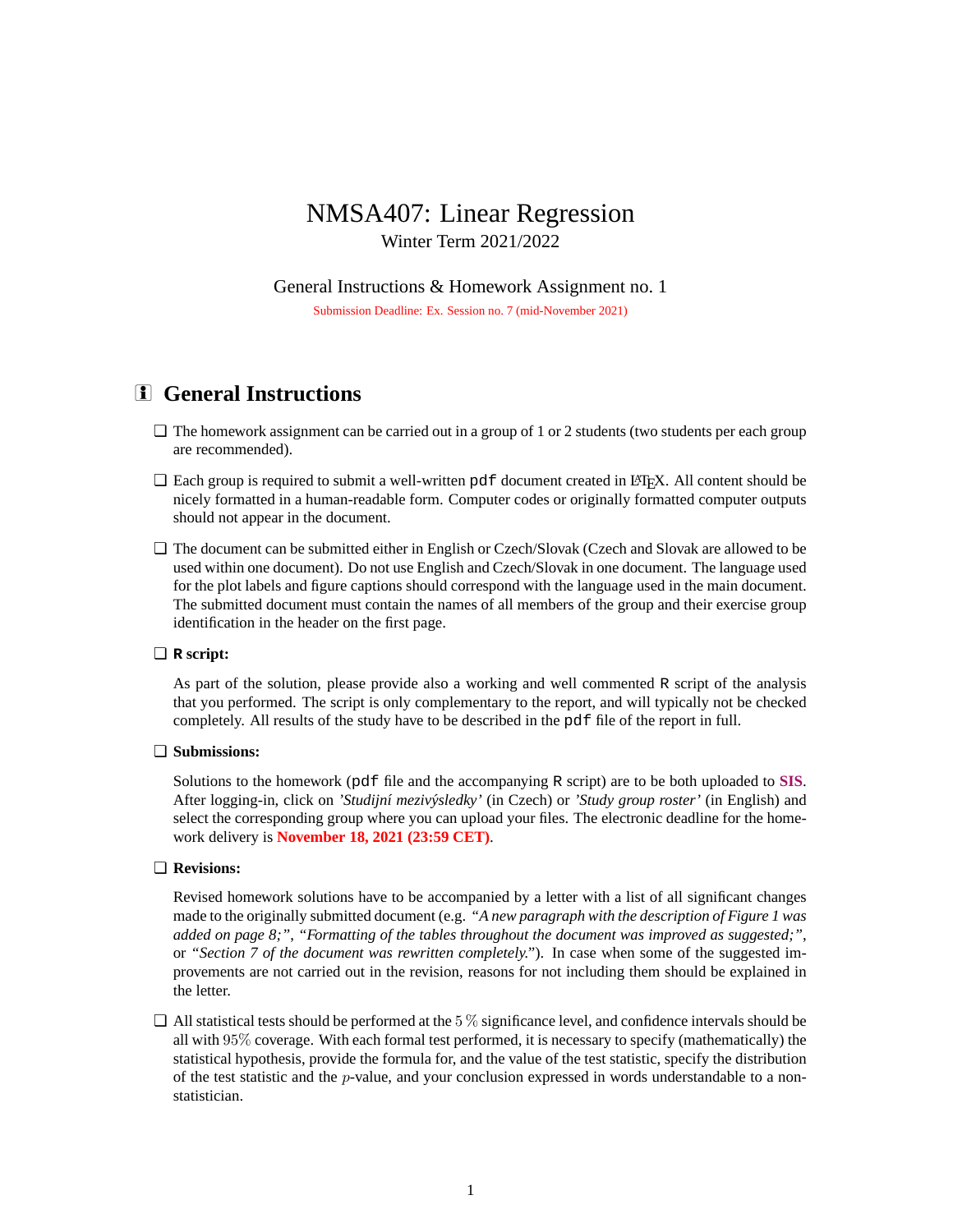# NMSA407: Linear Regression Winter Term 2021/2022

General Instructions & Homework Assignment no. 1 Submission Deadline: Ex. Session no. 7 (mid-November 2021)

# **i** General Instructions

- ❏ The homework assignment can be carried out in a group of 1 or 2 students (two students per each group are recommended).
- $\Box$  Each group is required to submit a well-written pdf document created in LATEX. All content should be nicely formatted in a human-readable form. Computer codes or originally formatted computer outputs should not appear in the document.
- ❏ The document can be submitted either in English or Czech/Slovak (Czech and Slovak are allowed to be used within one document). Do not use English and Czech/Slovak in one document. The language used for the plot labels and figure captions should correspond with the language used in the main document. The submitted document must contain the names of all members of the group and their exercise group identification in the header on the first page.

## ❏ **R script:**

As part of the solution, please provide also a working and well commented R script of the analysis that you performed. The script is only complementary to the report, and will typically not be checked completely. All results of the study have to be described in the pdf file of the report in full.

### ❏ **Submissions:**

Solutions to the homework (pdf file and the accompanying R script) are to be both uploaded to **[SIS](https://is.cuni.cz/studium/eng/index.php)**. After logging-in, click on *'Studijn´ı mezivysledky' ´* (in Czech) or *'Study group roster'* (in English) and select the corresponding group where you can upload your files. The electronic deadline for the homework delivery is **November 18, 2021 (23:59 CET)**.

#### ❏ **Revisions:**

Revised homework solutions have to be accompanied by a letter with a list of all significant changes made to the originally submitted document (e.g. *"A new paragraph with the description of Figure 1 was added on page 8;"*, *"Formatting of the tables throughout the document was improved as suggested;"*, or *"Section 7 of the document was rewritten completely."*). In case when some of the suggested improvements are not carried out in the revision, reasons for not including them should be explained in the letter.

 $\Box$  All statistical tests should be performed at the 5% significance level, and confidence intervals should be all with 95% coverage. With each formal test performed, it is necessary to specify (mathematically) the statistical hypothesis, provide the formula for, and the value of the test statistic, specify the distribution of the test statistic and the p-value, and your conclusion expressed in words understandable to a nonstatistician.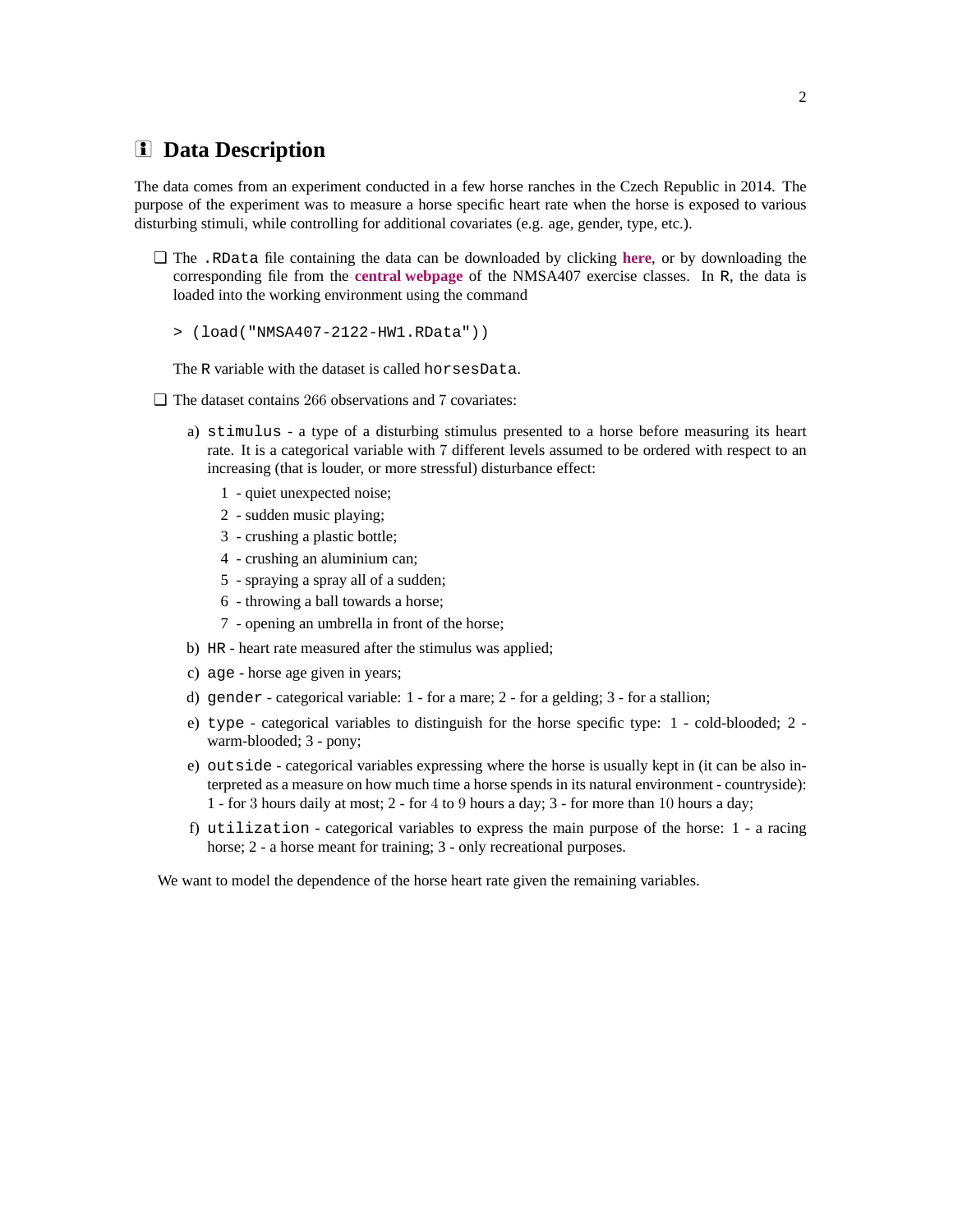# i **Data Description**

The data comes from an experiment conducted in a few horse ranches in the Czech Republic in 2014. The purpose of the experiment was to measure a horse specific heart rate when the horse is exposed to various disturbing stimuli, while controlling for additional covariates (e.g. age, gender, type, etc.).

- ❏ The .RData file containing the data can be downloaded by clicking **[here](http://www.karlin.mff.cuni.cz/~maciak/NMSA407/NMSA407-2122-HW1.RData)**, or by downloading the corresponding file from the **[central webpage](http://www.karlin.mff.cuni.cz/~maciak/nmsa407_2122.php)** of the NMSA407 exercise classes. In R, the data is loaded into the working environment using the command
	- > (load("NMSA407-2122-HW1.RData"))

The R variable with the dataset is called horsesData.

- ❏ The dataset contains 266 observations and 7 covariates:
	- a) stimulus a type of a disturbing stimulus presented to a horse before measuring its heart rate. It is a categorical variable with 7 different levels assumed to be ordered with respect to an increasing (that is louder, or more stressful) disturbance effect:
		- 1 quiet unexpected noise;
		- 2 sudden music playing;
		- 3 crushing a plastic bottle;
		- 4 crushing an aluminium can;
		- 5 spraying a spray all of a sudden;
		- 6 throwing a ball towards a horse;
		- 7 opening an umbrella in front of the horse;
	- b) HR heart rate measured after the stimulus was applied;
	- c) age horse age given in years;
	- d) gender categorical variable: 1 for a mare; 2 for a gelding; 3 for a stallion;
	- e) type categorical variables to distinguish for the horse specific type: 1 cold-blooded; 2 warm-blooded; 3 - pony;
	- e) outside categorical variables expressing where the horse is usually kept in (it can be also interpreted as a measure on how much time a horse spends in its natural environment - countryside): 1 - for 3 hours daily at most; 2 - for 4 to 9 hours a day; 3 - for more than 10 hours a day;
	- f) utilization categorical variables to express the main purpose of the horse: 1 a racing horse; 2 - a horse meant for training; 3 - only recreational purposes.

We want to model the dependence of the horse heart rate given the remaining variables.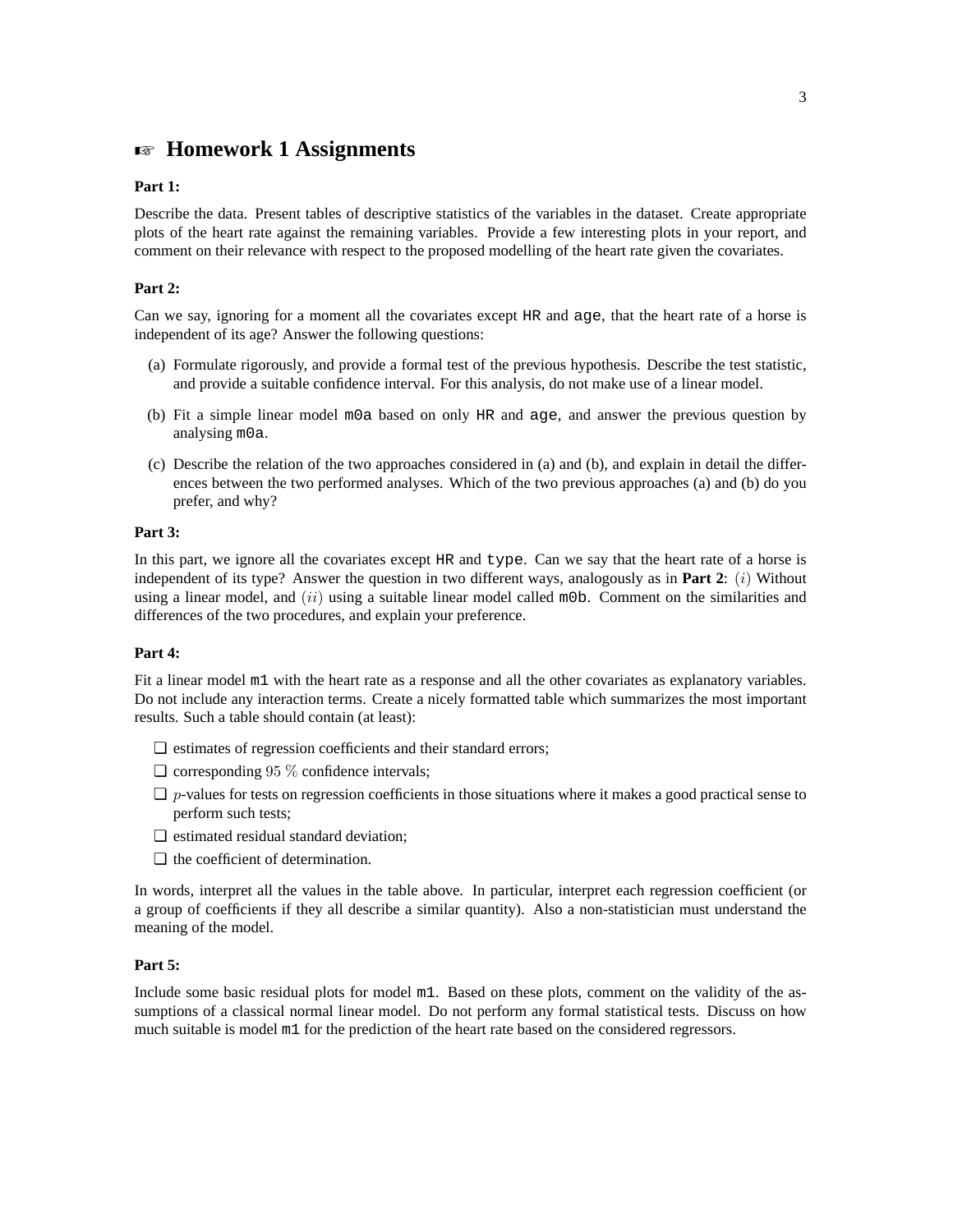# **EXECUTE:** Homework 1 Assignments

#### **Part 1:**

Describe the data. Present tables of descriptive statistics of the variables in the dataset. Create appropriate plots of the heart rate against the remaining variables. Provide a few interesting plots in your report, and comment on their relevance with respect to the proposed modelling of the heart rate given the covariates.

#### **Part 2:**

Can we say, ignoring for a moment all the covariates except HR and age, that the heart rate of a horse is independent of its age? Answer the following questions:

- (a) Formulate rigorously, and provide a formal test of the previous hypothesis. Describe the test statistic, and provide a suitable confidence interval. For this analysis, do not make use of a linear model.
- (b) Fit a simple linear model m0a based on only HR and age, and answer the previous question by analysing m0a.
- (c) Describe the relation of the two approaches considered in (a) and (b), and explain in detail the differences between the two performed analyses. Which of the two previous approaches (a) and (b) do you prefer, and why?

#### **Part 3:**

In this part, we ignore all the covariates except HR and type. Can we say that the heart rate of a horse is independent of its type? Answer the question in two different ways, analogously as in **Part 2**: (i) Without using a linear model, and  $(ii)$  using a suitable linear model called m0b. Comment on the similarities and differences of the two procedures, and explain your preference.

#### **Part 4:**

Fit a linear model m1 with the heart rate as a response and all the other covariates as explanatory variables. Do not include any interaction terms. Create a nicely formatted table which summarizes the most important results. Such a table should contain (at least):

- ❏ estimates of regression coefficients and their standard errors;
- $\Box$  corresponding 95  $\%$  confidence intervals;
- $\Box$  p-values for tests on regression coefficients in those situations where it makes a good practical sense to perform such tests;
- ❏ estimated residual standard deviation;
- ❏ the coefficient of determination.

In words, interpret all the values in the table above. In particular, interpret each regression coefficient (or a group of coefficients if they all describe a similar quantity). Also a non-statistician must understand the meaning of the model.

### **Part 5:**

Include some basic residual plots for model m1. Based on these plots, comment on the validity of the assumptions of a classical normal linear model. Do not perform any formal statistical tests. Discuss on how much suitable is model m1 for the prediction of the heart rate based on the considered regressors.